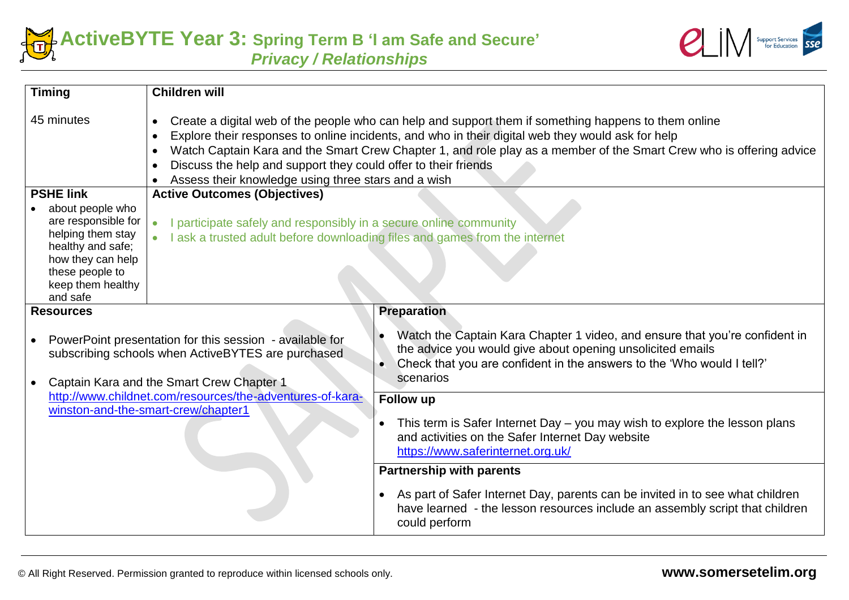



| <b>Timing</b>                                                                                                                                                            | <b>Children will</b>                                                                                                                                                                                                                                                                                                                                                                                                                                                                |                                                                                                                                                                                                                                  |  |
|--------------------------------------------------------------------------------------------------------------------------------------------------------------------------|-------------------------------------------------------------------------------------------------------------------------------------------------------------------------------------------------------------------------------------------------------------------------------------------------------------------------------------------------------------------------------------------------------------------------------------------------------------------------------------|----------------------------------------------------------------------------------------------------------------------------------------------------------------------------------------------------------------------------------|--|
| 45 minutes                                                                                                                                                               | Create a digital web of the people who can help and support them if something happens to them online<br>$\bullet$<br>Explore their responses to online incidents, and who in their digital web they would ask for help<br>$\bullet$<br>Watch Captain Kara and the Smart Crew Chapter 1, and role play as a member of the Smart Crew who is offering advice<br>Discuss the help and support they could offer to their friends<br>Assess their knowledge using three stars and a wish |                                                                                                                                                                                                                                  |  |
| <b>PSHE link</b>                                                                                                                                                         | <b>Active Outcomes (Objectives)</b>                                                                                                                                                                                                                                                                                                                                                                                                                                                 |                                                                                                                                                                                                                                  |  |
| about people who<br>are responsible for<br>helping them stay<br>healthy and safe;<br>how they can help<br>these people to<br>keep them healthy<br>and safe               | I participate safely and responsibly in a secure online community<br>$\bullet$<br>I ask a trusted adult before downloading files and games from the internet<br>$\bullet$                                                                                                                                                                                                                                                                                                           |                                                                                                                                                                                                                                  |  |
| <b>Resources</b>                                                                                                                                                         |                                                                                                                                                                                                                                                                                                                                                                                                                                                                                     | <b>Preparation</b>                                                                                                                                                                                                               |  |
| PowerPoint presentation for this session - available for<br>$\bullet$<br>subscribing schools when ActiveBYTES are purchased<br>Captain Kara and the Smart Crew Chapter 1 |                                                                                                                                                                                                                                                                                                                                                                                                                                                                                     | Watch the Captain Kara Chapter 1 video, and ensure that you're confident in<br>the advice you would give about opening unsolicited emails<br>Check that you are confident in the answers to the 'Who would I tell?'<br>scenarios |  |
|                                                                                                                                                                          | http://www.childnet.com/resources/the-adventures-of-kara-                                                                                                                                                                                                                                                                                                                                                                                                                           | Follow up                                                                                                                                                                                                                        |  |
|                                                                                                                                                                          | winston-and-the-smart-crew/chapter1                                                                                                                                                                                                                                                                                                                                                                                                                                                 | This term is Safer Internet Day - you may wish to explore the lesson plans<br>and activities on the Safer Internet Day website<br>https://www.saferinternet.org.uk/                                                              |  |
|                                                                                                                                                                          |                                                                                                                                                                                                                                                                                                                                                                                                                                                                                     | <b>Partnership with parents</b>                                                                                                                                                                                                  |  |
|                                                                                                                                                                          |                                                                                                                                                                                                                                                                                                                                                                                                                                                                                     | As part of Safer Internet Day, parents can be invited in to see what children<br>$\bullet$<br>have learned - the lesson resources include an assembly script that children<br>could perform                                      |  |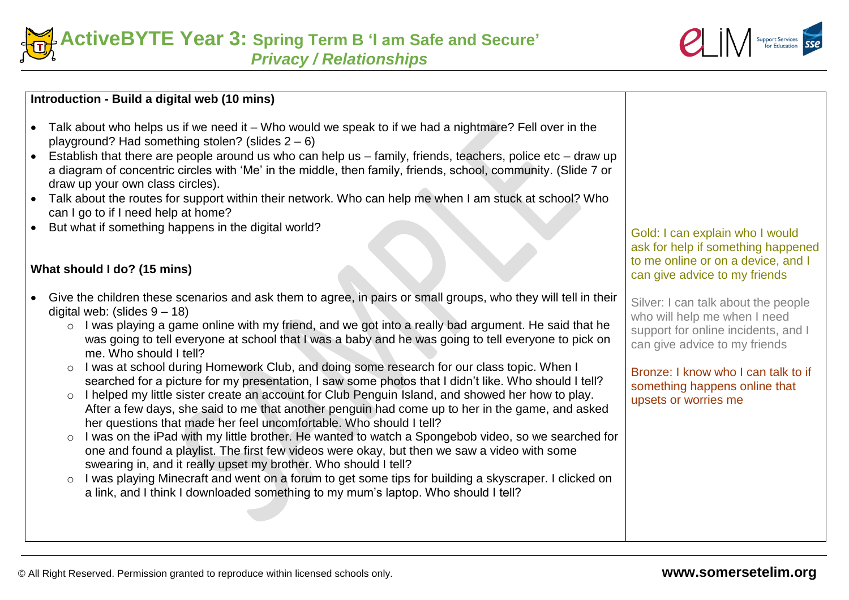



## **Introduction - Build a digital web (10 mins)**

- Talk about who helps us if we need it Who would we speak to if we had a nightmare? Fell over in the playground? Had something stolen? (slides 2 – 6)
- Establish that there are people around us who can help us family, friends, teachers, police etc draw up a diagram of concentric circles with 'Me' in the middle, then family, friends, school, community. (Slide 7 or draw up your own class circles).
- Talk about the routes for support within their network. Who can help me when I am stuck at school? Who can I go to if I need help at home?
- But what if something happens in the digital world?

## **What should I do? (15 mins)**

- Give the children these scenarios and ask them to agree, in pairs or small groups, who they will tell in their digital web: (slides  $9 - 18$ )
	- o I was playing a game online with my friend, and we got into a really bad argument. He said that he was going to tell everyone at school that I was a baby and he was going to tell everyone to pick on me. Who should I tell?
	- o I was at school during Homework Club, and doing some research for our class topic. When I searched for a picture for my presentation, I saw some photos that I didn't like. Who should I tell?
	- o I helped my little sister create an account for Club Penguin Island, and showed her how to play. After a few days, she said to me that another penguin had come up to her in the game, and asked her questions that made her feel uncomfortable. Who should I tell?
	- o I was on the iPad with my little brother. He wanted to watch a Spongebob video, so we searched for one and found a playlist. The first few videos were okay, but then we saw a video with some swearing in, and it really upset my brother. Who should I tell?
	- o I was playing Minecraft and went on a forum to get some tips for building a skyscraper. I clicked on a link, and I think I downloaded something to my mum's laptop. Who should I tell?

## Gold: I can explain who I would ask for help if something happened to me online or on a device, and I can give advice to my friends

Silver: I can talk about the people who will help me when I need support for online incidents, and I can give advice to my friends

Bronze: I know who I can talk to if something happens online that upsets or worries me